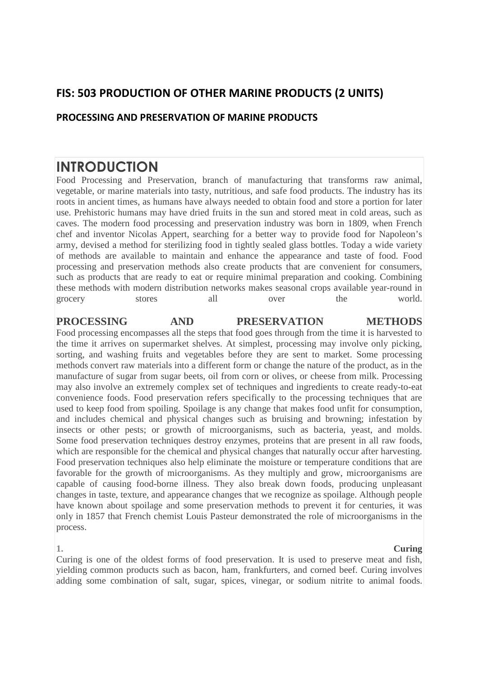# **FIS: 503 PRODUCTION OF OTHER MARINE PRODUCTS (2 UNITS)**

## **PROCESSING AND PRESERVATION OF MARINE PRODUCTS**

# **INTRODUCTION**

Food Processing and Preservation, branch of manufacturing that transforms raw animal, vegetable, or marine materials into tasty, nutritious, and safe food products. The industry has its roots in ancient times, as humans have always needed to obtain food and store a portion for later use. Prehistoric humans may have dried fruits in the sun and stored meat in cold areas, such as caves. The modern food processing and preservation industry was born in 1809, when French chef and inventor Nicolas Appert, searching for a better way to provide food for Napoleon's army, devised a method for sterilizing food in tightly sealed glass bottles. Today a wide variety of methods are available to maintain and enhance the appearance and taste of food. Food processing and preservation methods also create products that are convenient for consumers, such as products that are ready to eat or require minimal preparation and cooking. Combining these methods with modern distribution networks makes seasonal crops available year-round in grocery stores all over the world.

### **PROCESSING AND PRESERVATION METHODS**

Food processing encompasses all the steps that food goes through from the time it is harvested to the time it arrives on supermarket shelves. At simplest, processing may involve only picking, sorting, and washing fruits and vegetables before they are sent to market. Some processing methods convert raw materials into a different form or change the nature of the product, as in the manufacture of sugar from sugar beets, oil from corn or olives, or cheese from milk. Processing may also involve an extremely complex set of techniques and ingredients to create ready-to-eat convenience foods. Food preservation refers specifically to the processing techniques that are used to keep food from spoiling. Spoilage is any change that makes food unfit for consumption, and includes chemical and physical changes such as bruising and browning; infestation by insects or other pests; or growth of microorganisms, such as bacteria, yeast, and molds. Some food preservation techniques destroy enzymes, proteins that are present in all raw foods, which are responsible for the chemical and physical changes that naturally occur after harvesting. Food preservation techniques also help eliminate the moisture or temperature conditions that are favorable for the growth of microorganisms. As they multiply and grow, microorganisms are capable of causing food-borne illness. They also break down foods, producing unpleasant changes in taste, texture, and appearance changes that we recognize as spoilage. Although people have known about spoilage and some preservation methods to prevent it for centuries, it was only in 1857 that French chemist Louis Pasteur demonstrated the role of microorganisms in the process.

**1. Curing** Curing is one of the oldest forms of food preservation. It is used to preserve meat and fish, yielding common products such as bacon, ham, frankfurters, and corned beef. Curing involves adding some combination of salt, sugar, spices, vinegar, or sodium nitrite to animal foods.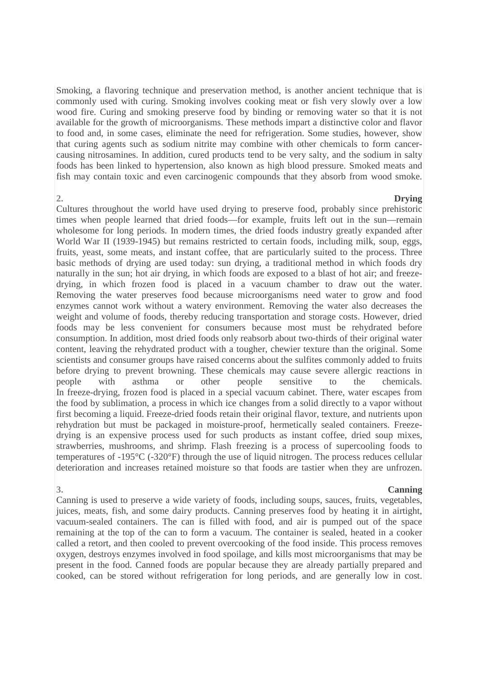Smoking, a flavoring technique and preservation method, is another ancient technique that is commonly used with curing. Smoking involves cooking meat or fish very slowly over a low wood fire. Curing and smoking preserve food by binding or removing water so that it is not available for the growth of microorganisms. These methods impart a distinctive color and flavor to food and, in some cases, eliminate the need for refrigeration. Some studies, however, show that curing agents such as sodium nitrite may combine with other chemicals to form cancercausing nitrosamines. In addition, cured products tend to be very salty, and the sodium in salty foods has been linked to hypertension, also known as high blood pressure. Smoked meats and fish may contain toxic and even carcinogenic compounds that they absorb from wood smoke.

### **2. Drying**

Cultures throughout the world have used drying to preserve food, probably since prehistoric times when people learned that dried foods—for example, fruits left out in the sun—remain wholesome for long periods. In modern times, the dried foods industry greatly expanded after World War II (1939-1945) but remains restricted to certain foods, including milk, soup, eggs, fruits, yeast, some meats, and instant coffee, that are particularly suited to the process. Three basic methods of drying are used today: sun drying, a traditional method in which foods dry naturally in the sun; hot air drying, in which foods are exposed to a blast of hot air; and freezedrying, in which frozen food is placed in a vacuum chamber to draw out the water. Removing the water preserves food because microorganisms need water to grow and food enzymes cannot work without a watery environment. Removing the water also decreases the weight and volume of foods, thereby reducing transportation and storage costs. However, dried foods may be less convenient for consumers because most must be rehydrated before consumption. In addition, most dried foods only reabsorb about two-thirds of their original water content, leaving the rehydrated product with a tougher, chewier texture than the original. Some scientists and consumer groups have raised concerns about the sulfites commonly added to fruits before drying to prevent browning. These chemicals may cause severe allergic reactions in people with asthma or other people sensitive to the chemicals. In freeze-drying, frozen food is placed in a special vacuum cabinet. There, water escapes from the food by sublimation, a process in which ice changes from a solid directly to a vapor without first becoming a liquid. Freeze-dried foods retain their original flavor, texture, and nutrients upon rehydration but must be packaged in moisture-proof, hermetically sealed containers. Freezedrying is an expensive process used for such products as instant coffee, dried soup mixes, strawberries, mushrooms, and shrimp. Flash freezing is a process of supercooling foods to temperatures of -195°C (-320°F) through the use of liquid nitrogen. The process reduces cellular deterioration and increases retained moisture so that foods are tastier when they are unfrozen.

### **3. Canning**

Canning is used to preserve a wide variety of foods, including soups, sauces, fruits, vegetables, juices, meats, fish, and some dairy products. Canning preserves food by heating it in airtight, vacuum-sealed containers. The can is filled with food, and air is pumped out of the space remaining at the top of the can to form a vacuum. The container is sealed, heated in a cooker called a retort, and then cooled to prevent overcooking of the food inside. This process removes oxygen, destroys enzymes involved in food spoilage, and kills most microorganisms that may be present in the food. Canned foods are popular because they are already partially prepared and cooked, can be stored without refrigeration for long periods, and are generally low in cost.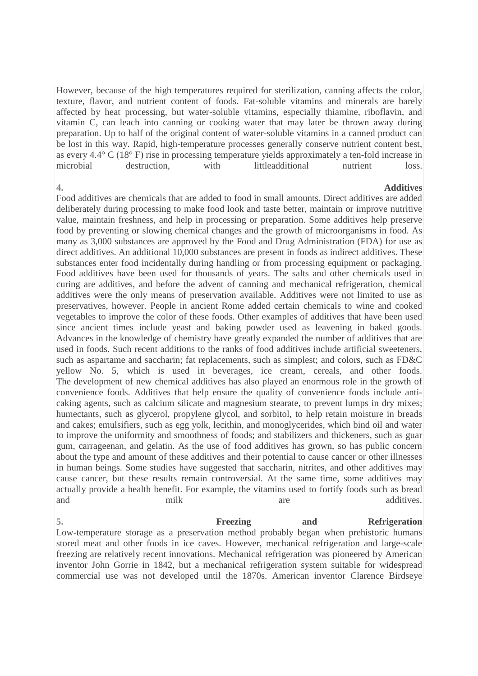However, because of the high temperatures required for sterilization, canning affects the color, texture, flavor, and nutrient content of foods. Fat-soluble vitamins and minerals are barely affected by heat processing, but water-soluble vitamins, especially thiamine, riboflavin, and vitamin C, can leach into canning or cooking water that may later be thrown away during preparation. Up to half of the original content of water-soluble vitamins in a canned product can be lost in this way. Rapid, high-temperature processes generally conserve nutrient content best, as every 4.4° C (18° F) rise in processing temperature yields approximately a ten-fold increase in microbial destruction, with littleadditional nutrient loss.

### **4. Additives**

Food additives are chemicals that are added to food in small amounts. Direct additives are added deliberately during processing to make food look and taste better, maintain or improve nutritive value, maintain freshness, and help in processing or preparation. Some additives help preserve food by preventing or slowing chemical changes and the growth of microorganisms in food. As many as 3,000 substances are approved by the Food and Drug Administration (FDA) for use as direct additives. An additional 10,000 substances are present in foods as indirect additives. These substances enter food incidentally during handling or from processing equipment or packaging. Food additives have been used for thousands of years. The salts and other chemicals used in curing are additives, and before the advent of canning and mechanical refrigeration, chemical additives were the only means of preservation available. Additives were not limited to use as preservatives, however. People in ancient Rome added certain chemicals to wine and cooked vegetables to improve the color of these foods. Other examples of additives that have been used since ancient times include yeast and baking powder used as leavening in baked goods. Advances in the knowledge of chemistry have greatly expanded the number of additives that are used in foods. Such recent additions to the ranks of food additives include artificial sweeteners, such as aspartame and saccharin; fat replacements, such as simplest; and colors, such as FD&C yellow No. 5, which is used in beverages, ice cream, cereals, and other foods. The development of new chemical additives has also played an enormous role in the growth of convenience foods. Additives that help ensure the quality of convenience foods include anticaking agents, such as calcium silicate and magnesium stearate, to prevent lumps in dry mixes; humectants, such as glycerol, propylene glycol, and sorbitol, to help retain moisture in breads and cakes; emulsifiers, such as egg yolk, lecithin, and monoglycerides, which bind oil and water to improve the uniformity and smoothness of foods; and stabilizers and thickeners, such as guar gum, carrageenan, and gelatin. As the use of food additives has grown, so has public concern about the type and amount of these additives and their potential to cause cancer or other illnesses in human beings. Some studies have suggested that saccharin, nitrites, and other additives may cause cancer, but these results remain controversial. At the same time, some additives may actually provide a health benefit. For example, the vitamins used to fortify foods such as bread and milk milk are additives.

**5. Freezing and Refrigeration** Low-temperature storage as a preservation method probably began when prehistoric humans stored meat and other foods in ice caves. However, mechanical refrigeration and large-scale freezing are relatively recent innovations. Mechanical refrigeration was pioneered by American inventor John Gorrie in 1842, but a mechanical refrigeration system suitable for widespread commercial use was not developed until the 1870s. American inventor Clarence Birdseye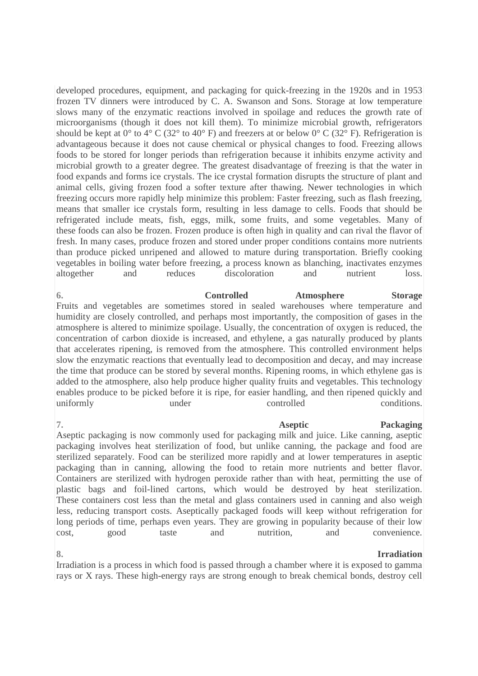developed procedures, equipment, and packaging for quick-freezing in the 1920s and in 1953 frozen TV dinners were introduced by C. A. Swanson and Sons. Storage at low temperature slows many of the enzymatic reactions involved in spoilage and reduces the growth rate of microorganisms (though it does not kill them). To minimize microbial growth, refrigerators should be kept at  $0^{\circ}$  to  $4^{\circ}$  C (32° to  $40^{\circ}$  F) and freezers at or below  $0^{\circ}$  C (32° F). Refrigeration is advantageous because it does not cause chemical or physical changes to food. Freezing allows foods to be stored for longer periods than refrigeration because it inhibits enzyme activity and microbial growth to a greater degree. The greatest disadvantage of freezing is that the water in food expands and forms ice crystals. The ice crystal formation disrupts the structure of plant and animal cells, giving frozen food a softer texture after thawing. Newer technologies in which freezing occurs more rapidly help minimize this problem: Faster freezing, such as flash freezing, means that smaller ice crystals form, resulting in less damage to cells. Foods that should be refrigerated include meats, fish, eggs, milk, some fruits, and some vegetables. Many of these foods can also be frozen. Frozen produce is often high in quality and can rival the flavor of fresh. In many cases, produce frozen and stored under proper conditions contains more nutrients than produce picked unripened and allowed to mature during transportation. Briefly cooking vegetables in boiling water before freezing, a process known as blanching, inactivates enzymes altogether and reduces discoloration and nutrient loss.

**6. Controlled Atmosphere Storage** Fruits and vegetables are sometimes stored in sealed warehouses where temperature and humidity are closely controlled, and perhaps most importantly, the composition of gases in the atmosphere is altered to minimize spoilage. Usually, the concentration of oxygen is reduced, the concentration of carbon dioxide is increased, and ethylene, a gas naturally produced by plants that accelerates ripening, is removed from the atmosphere. This controlled environment helps slow the enzymatic reactions that eventually lead to decomposition and decay, and may increase the time that produce can be stored by several months. Ripening rooms, in which ethylene gas is added to the atmosphere, also help produce higher quality fruits and vegetables. This technology enables produce to be picked before it is ripe, for easier handling, and then ripened quickly and uniformly under controlled conditions.

**7. Aseptic Packaging** Aseptic packaging is now commonly used for packaging milk and juice. Like canning, aseptic packaging involves heat sterilization of food, but unlike canning, the package and food are sterilized separately. Food can be sterilized more rapidly and at lower temperatures in aseptic packaging than in canning, allowing the food to retain more nutrients and better flavor. Containers are sterilized with hydrogen peroxide rather than with heat, permitting the use of plastic bags and foil-lined cartons, which would be destroyed by heat sterilization. These containers cost less than the metal and glass containers used in canning and also weigh less, reducing transport costs. Aseptically packaged foods will keep without refrigeration for long periods of time, perhaps even years. They are growing in popularity because of their low cost, good taste and nutrition, and convenience.

### **8. Irradiation**

Irradiation is a process in which food is passed through a chamber where it is exposed to gamma rays or X rays. These high-energy rays are strong enough to break chemical bonds, destroy cell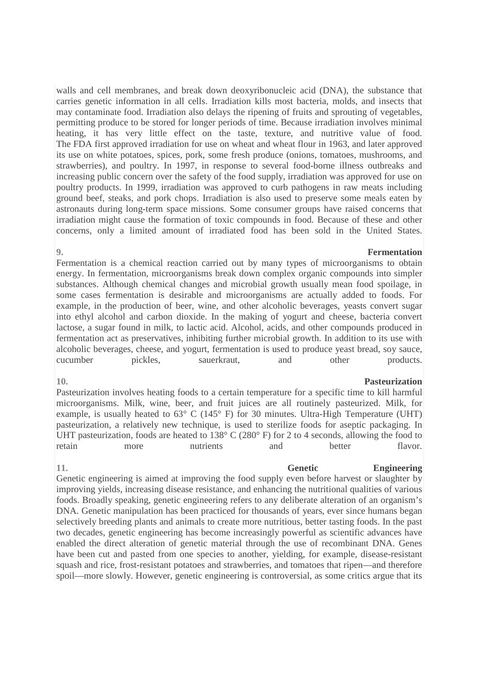walls and cell membranes, and break down deoxyribonucleic acid (DNA), the substance that carries genetic information in all cells. Irradiation kills most bacteria, molds, and insects that may contaminate food. Irradiation also delays the ripening of fruits and sprouting of vegetables, permitting produce to be stored for longer periods of time. Because irradiation involves minimal heating, it has very little effect on the taste, texture, and nutritive value of food. The FDA first approved irradiation for use on wheat and wheat flour in 1963, and later approved its use on white potatoes, spices, pork, some fresh produce (onions, tomatoes, mushrooms, and strawberries), and poultry. In 1997, in response to several food-borne illness outbreaks and increasing public concern over the safety of the food supply, irradiation was approved for use on poultry products. In 1999, irradiation was approved to curb pathogens in raw meats including ground beef, steaks, and pork chops. Irradiation is also used to preserve some meals eaten by astronauts during long-term space missions. Some consumer groups have raised concerns that irradiation might cause the formation of toxic compounds in food. Because of these and other concerns, only a limited amount of irradiated food has been sold in the United States.

### **9. Fermentation**

Fermentation is a chemical reaction carried out by many types of microorganisms to obtain energy. In fermentation, microorganisms break down complex organic compounds into simpler substances. Although chemical changes and microbial growth usually mean food spoilage, in some cases fermentation is desirable and microorganisms are actually added to foods. For example, in the production of beer, wine, and other alcoholic beverages, yeasts convert sugar into ethyl alcohol and carbon dioxide. In the making of yogurt and cheese, bacteria convert lactose, a sugar found in milk, to lactic acid. Alcohol, acids, and other compounds produced in fermentation act as preservatives, inhibiting further microbial growth. In addition to its use with alcoholic beverages, cheese, and yogurt, fermentation is used to produce yeast bread, soy sauce, cucumber pickles, sauerkraut, and other products.

Pasteurization involves heating foods to a certain temperature for a specific time to kill harmful microorganisms. Milk, wine, beer, and fruit juices are all routinely pasteurized. Milk, for example, is usually heated to 63° C (145° F) for 30 minutes. Ultra-High Temperature (UHT) pasteurization, a relatively new technique, is used to sterilize foods for aseptic packaging. In UHT pasteurization, foods are heated to 138° C (280° F) for 2 to 4 seconds, allowing the food to retain more nutrients and better flavor.

Genetic engineering is aimed at improving the food supply even before harvest or slaughter by improving yields, increasing disease resistance, and enhancing the nutritional qualities of various foods. Broadly speaking, genetic engineering refers to any deliberate alteration of an organism's DNA. Genetic manipulation has been practiced for thousands of years, ever since humans began selectively breeding plants and animals to create more nutritious, better tasting foods. In the past two decades, genetic engineering has become increasingly powerful as scientific advances have enabled the direct alteration of genetic material through the use of recombinant DNA. Genes have been cut and pasted from one species to another, yielding, for example, disease-resistant squash and rice, frost-resistant potatoes and strawberries, and tomatoes that ripen—and therefore spoil—more slowly. However, genetic engineering is controversial, as some critics argue that its

### **10. Pasteurization**

# **11. Genetic Engineering**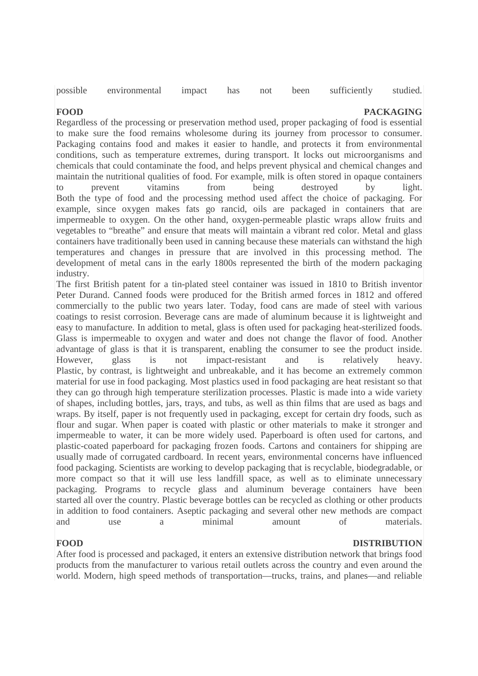possible environmental impact has not been sufficiently studied.

### **FOOD** PACKAGING

Regardless of the processing or preservation method used, proper packaging of food is essential to make sure the food remains wholesome during its journey from processor to consumer. Packaging contains food and makes it easier to handle, and protects it from environmental conditions, such as temperature extremes, during transport. It locks out microorganisms and chemicals that could contaminate the food, and helps prevent physical and chemical changes and maintain the nutritional qualities of food. For example, milk is often stored in opaque containers to prevent vitamins from being destroyed by light. Both the type of food and the processing method used affect the choice of packaging. For example, since oxygen makes fats go rancid, oils are packaged in containers that are impermeable to oxygen. On the other hand, oxygen-permeable plastic wraps allow fruits and vegetables to "breathe" and ensure that meats will maintain a vibrant red color. Metal and glass containers have traditionally been used in canning because these materials can withstand the high temperatures and changes in pressure that are involved in this processing method. The development of metal cans in the early 1800s represented the birth of the modern packaging industry.

The first British patent for a tin-plated steel container was issued in 1810 to British inventor Peter Durand. Canned foods were produced for the British armed forces in 1812 and offered commercially to the public two years later. Today, food cans are made of steel with various coatings to resist corrosion. Beverage cans are made of aluminum because it is lightweight and easy to manufacture. In addition to metal, glass is often used for packaging heat-sterilized foods. Glass is impermeable to oxygen and water and does not change the flavor of food. Another advantage of glass is that it is transparent, enabling the consumer to see the product inside. However, glass is not impact-resistant and is relatively heavy. Plastic, by contrast, is lightweight and unbreakable, and it has become an extremely common material for use in food packaging. Most plastics used in food packaging are heat resistant so that they can go through high temperature sterilization processes. Plastic is made into a wide variety of shapes, including bottles, jars, trays, and tubs, as well as thin films that are used as bags and wraps. By itself, paper is not frequently used in packaging, except for certain dry foods, such as flour and sugar. When paper is coated with plastic or other materials to make it stronger and impermeable to water, it can be more widely used. Paperboard is often used for cartons, and plastic-coated paperboard for packaging frozen foods. Cartons and containers for shipping are usually made of corrugated cardboard. In recent years, environmental concerns have influenced food packaging. Scientists are working to develop packaging that is recyclable, biodegradable, or more compact so that it will use less landfill space, as well as to eliminate unnecessary packaging. Programs to recycle glass and aluminum beverage containers have been started all over the country. Plastic beverage bottles can be recycled as clothing or other products in addition to food containers. Aseptic packaging and several other new methods are compact and use a minimal amount of materials.

### **FOOD** DISTRIBUTION

After food is processed and packaged, it enters an extensive distribution network that brings food products from the manufacturer to various retail outlets across the country and even around the world. Modern, high speed methods of transportation—trucks, trains, and planes—and reliable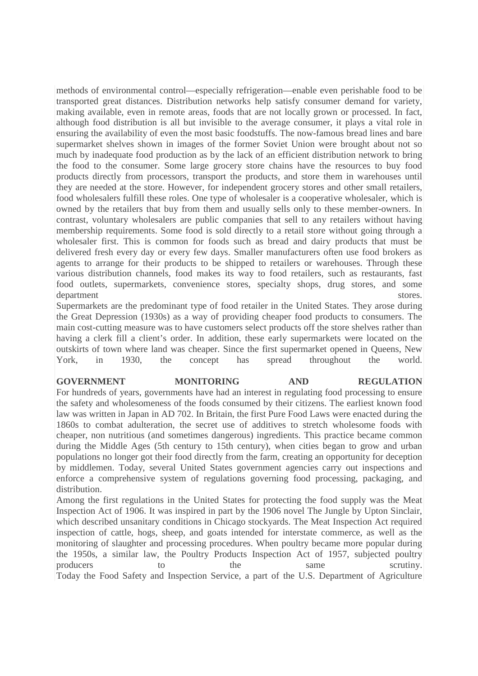methods of environmental control—especially refrigeration—enable even perishable food to be transported great distances. Distribution networks help satisfy consumer demand for variety, making available, even in remote areas, foods that are not locally grown or processed. In fact, although food distribution is all but invisible to the average consumer, it plays a vital role in ensuring the availability of even the most basic foodstuffs. The now-famous bread lines and bare supermarket shelves shown in images of the former Soviet Union were brought about not so much by inadequate food production as by the lack of an efficient distribution network to bring the food to the consumer. Some large grocery store chains have the resources to buy food products directly from processors, transport the products, and store them in warehouses until they are needed at the store. However, for independent grocery stores and other small retailers, food wholesalers fulfill these roles. One type of wholesaler is a cooperative wholesaler, which is owned by the retailers that buy from them and usually sells only to these member-owners. In contrast, voluntary wholesalers are public companies that sell to any retailers without having membership requirements. Some food is sold directly to a retail store without going through a wholesaler first. This is common for foods such as bread and dairy products that must be delivered fresh every day or every few days. Smaller manufacturers often use food brokers as agents to arrange for their products to be shipped to retailers or warehouses. Through these various distribution channels, food makes its way to food retailers, such as restaurants, fast food outlets, supermarkets, convenience stores, specialty shops, drug stores, and some department stores.

Supermarkets are the predominant type of food retailer in the United States. They arose during the Great Depression (1930s) as a way of providing cheaper food products to consumers. The main cost-cutting measure was to have customers select products off the store shelves rather than having a clerk fill a client's order. In addition, these early supermarkets were located on the outskirts of town where land was cheaper. Since the first supermarket opened in Queens, New York, in 1930, the concept has spread throughout the world.

### **GOVERNMENT MONITORING AND REGULATION** For hundreds of years, governments have had an interest in regulating food processing to ensure the safety and wholesomeness of the foods consumed by their citizens. The earliest known food law was written in Japan in AD 702. In Britain, the first Pure Food Laws were enacted during the 1860s to combat adulteration, the secret use of additives to stretch wholesome foods with cheaper, non nutritious (and sometimes dangerous) ingredients. This practice became common during the Middle Ages (5th century to 15th century), when cities began to grow and urban populations no longer got their food directly from the farm, creating an opportunity for deception by middlemen. Today, several United States government agencies carry out inspections and

enforce a comprehensive system of regulations governing food processing, packaging, and distribution. Among the first regulations in the United States for protecting the food supply was the Meat

Inspection Act of 1906. It was inspired in part by the 1906 novel The Jungle by Upton Sinclair, which described unsanitary conditions in Chicago stockyards. The Meat Inspection Act required inspection of cattle, hogs, sheep, and goats intended for interstate commerce, as well as the monitoring of slaughter and processing procedures. When poultry became more popular during the 1950s, a similar law, the Poultry Products Inspection Act of 1957, subjected poultry producers to the same scrutiny. Today the Food Safety and Inspection Service, a part of the U.S. Department of Agriculture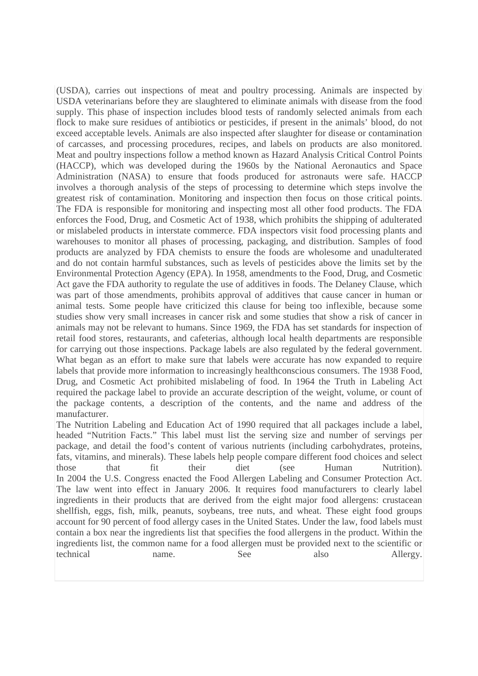(USDA), carries out inspections of meat and poultry processing. Animals are inspected by USDA veterinarians before they are slaughtered to eliminate animals with disease from the food supply. This phase of inspection includes blood tests of randomly selected animals from each flock to make sure residues of antibiotics or pesticides, if present in the animals' blood, do not exceed acceptable levels. Animals are also inspected after slaughter for disease or contamination of carcasses, and processing procedures, recipes, and labels on products are also monitored. Meat and poultry inspections follow a method known as Hazard Analysis Critical Control Points (HACCP), which was developed during the 1960s by the National Aeronautics and Space Administration (NASA) to ensure that foods produced for astronauts were safe. HACCP involves a thorough analysis of the steps of processing to determine which steps involve the greatest risk of contamination. Monitoring and inspection then focus on those critical points. The FDA is responsible for monitoring and inspecting most all other food products. The FDA enforces the Food, Drug, and Cosmetic Act of 1938, which prohibits the shipping of adulterated or mislabeled products in interstate commerce. FDA inspectors visit food processing plants and warehouses to monitor all phases of processing, packaging, and distribution. Samples of food products are analyzed by FDA chemists to ensure the foods are wholesome and unadulterated and do not contain harmful substances, such as levels of pesticides above the limits set by the Environmental Protection Agency (EPA). In 1958, amendments to the Food, Drug, and Cosmetic Act gave the FDA authority to regulate the use of additives in foods. The Delaney Clause, which was part of those amendments, prohibits approval of additives that cause cancer in human or animal tests. Some people have criticized this clause for being too inflexible, because some studies show very small increases in cancer risk and some studies that show a risk of cancer in animals may not be relevant to humans. Since 1969, the FDA has set standards for inspection of retail food stores, restaurants, and cafeterias, although local health departments are responsible for carrying out those inspections. Package labels are also regulated by the federal government. What began as an effort to make sure that labels were accurate has now expanded to require labels that provide more information to increasingly healthconscious consumers. The 1938 Food, Drug, and Cosmetic Act prohibited mislabeling of food. In 1964 the Truth in Labeling Act required the package label to provide an accurate description of the weight, volume, or count of the package contents, a description of the contents, and the name and address of the manufacturer.

The Nutrition Labeling and Education Act of 1990 required that all packages include a label, headed "Nutrition Facts." This label must list the serving size and number of servings per package, and detail the food's content of various nutrients (including carbohydrates, proteins, fats, vitamins, and minerals). These labels help people compare different food choices and select those that fit their diet (see Human Nutrition). In 2004 the U.S. Congress enacted the Food Allergen Labeling and Consumer Protection Act. The law went into effect in January 2006. It requires food manufacturers to clearly label ingredients in their products that are derived from the eight major food allergens: crustacean shellfish, eggs, fish, milk, peanuts, soybeans, tree nuts, and wheat. These eight food groups account for 90 percent of food allergy cases in the United States. Under the law, food labels must contain a box near the ingredients list that specifies the food allergens in the product. Within the ingredients list, the common name for a food allergen must be provided next to the scientific or technical name. See also Allergy.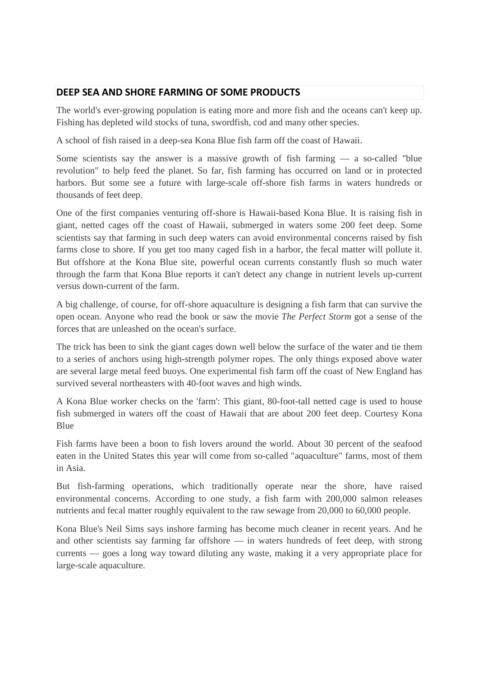## **DEEP SEA AND SHORE FARMING OF SOME PRODUCTS**

The world's ever-growing population is eating more and more fish and the oceans can't keep up. Fishing has depleted wild stocks of tuna, swordfish, cod and many other species.

A school of fish raised in a deep-sea Kona Blue fish farm off the coast of Hawaii.

Some scientists say the answer is a massive growth of fish farming — a so-called "blue revolution" to help feed the planet. So far, fish farming has occurred on land or in protected harbors. But some see a future with large-scale off-shore fish farms in waters hundreds or thousands of feet deep.

One of the first companies venturing off-shore is Hawaii-based Kona Blue. It is raising fish in giant, netted cages off the coast of Hawaii, submerged in waters some 200 feet deep. Some scientists say that farming in such deep waters can avoid environmental concerns raised by fish farms close to shore. If you get too many caged fish in a harbor, the fecal matter will pollute it. But offshore at the Kona Blue site, powerful ocean currents constantly flush so much water through the farm that Kona Blue reports it can't detect any change in nutrient levels up-current versus down-current of the farm.

A big challenge, of course, for off-shore aquaculture is designing a fish farm that can survive the open ocean. Anyone who read the book or saw the movie *The Perfect Storm* got a sense of the forces that are unleashed on the ocean's surface.

The trick has been to sink the giant cages down well below the surface of the water and tie them to a series of anchors using high-strength polymer ropes. The only things exposed above water are several large metal feed buoys. One experimental fish farm off the coast of New England has survived several northeasters with 40-foot waves and high winds.

A Kona Blue worker checks on the 'farm': This giant, 80-foot-tall netted cage is used to house fish submerged in waters off the coast of Hawaii that are about 200 feet deep. Courtesy Kona Blue

Fish farms have been a boon to fish lovers around the world. About 30 percent of the seafood eaten in the United States this year will come from so-called "aquaculture" farms, most of them in Asia.

But fish-farming operations, which traditionally operate near the shore, have raised environmental concerns. According to one study, a fish farm with 200,000 salmon releases nutrients and fecal matter roughly equivalent to the raw sewage from 20,000 to 60,000 people.

Kona Blue's Neil Sims says inshore farming has become much cleaner in recent years. And he and other scientists say farming far offshore — in waters hundreds of feet deep, with strong currents — goes a long way toward diluting any waste, making it a very appropriate place for large-scale aquaculture.